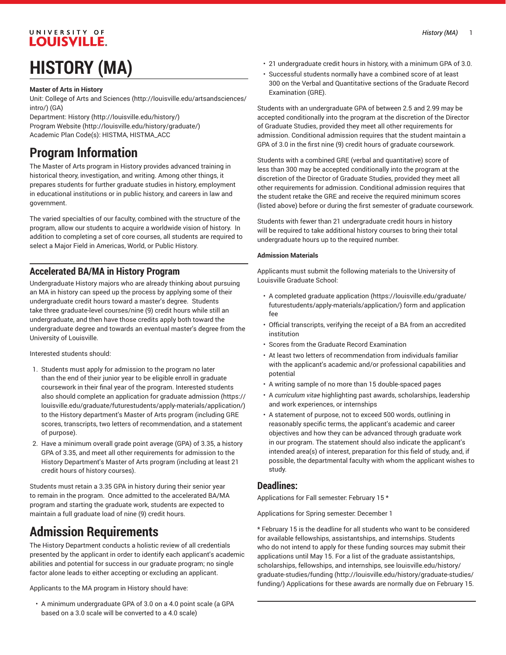## UNIVERSITY OF **LOUISVILLE.**

# **HISTORY (MA)**

#### **Master of Arts in History**

Unit: College of Arts and [Sciences \(http://louisville.edu/artsandsciences/](http://louisville.edu/artsandsciences/intro/) [intro/\)](http://louisville.edu/artsandsciences/intro/) (GA)

Department: [History \(http://louisville.edu/history/\)](http://louisville.edu/history/) [Program](http://louisville.edu/history/graduate/) Website [\(http://louisville.edu/history/graduate/\)](http://louisville.edu/history/graduate/) Academic Plan Code(s): HISTMA, HISTMA\_ACC

# **Program Information**

The Master of Arts program in History provides advanced training in historical theory, investigation, and writing. Among other things, it prepares students for further graduate studies in history, employment in educational institutions or in public history, and careers in law and government.

The varied specialties of our faculty, combined with the structure of the program, allow our students to acquire a worldwide vision of history. In addition to completing a set of core courses, all students are required to select a Major Field in Americas, World, or Public History.

### **Accelerated BA/MA in History Program**

Undergraduate History majors who are already thinking about pursuing an MA in history can speed up the process by applying some of their undergraduate credit hours toward a master's degree. Students take three graduate-level courses/nine (9) credit hours while still an undergraduate, and then have those credits apply both toward the undergraduate degree and towards an eventual master's degree from the University of Louisville.

#### Interested students should:

- 1. Students must apply for admission to the program no later than the end of their junior year to be eligible enroll in graduate coursework in their final year of the program. Interested students also should complete an application for [graduate admission](https://louisville.edu/graduate/futurestudents/apply-materials/application/) [\(https://](https://louisville.edu/graduate/futurestudents/apply-materials/application/) [louisville.edu/graduate/futurestudents/apply-materials/application/](https://louisville.edu/graduate/futurestudents/apply-materials/application/)) to the History department's Master of Arts program (including GRE scores, transcripts, two letters of recommendation, and a statement of purpose).
- 2. Have a minimum overall grade point average (GPA) of 3.35, a history GPA of 3.35, and meet all other requirements for admission to the History Department's Master of Arts program (including at least 21 credit hours of history courses).

Students must retain a 3.35 GPA in history during their senior year to remain in the program. Once admitted to the accelerated BA/MA program and starting the graduate work, students are expected to maintain a full graduate load of nine (9) credit hours.

# **Admission Requirements**

The History Department conducts a holistic review of all credentials presented by the applicant in order to identify each applicant's academic abilities and potential for success in our graduate program; no single factor alone leads to either accepting or excluding an applicant.

Applicants to the MA program in History should have:

• A minimum undergraduate GPA of 3.0 on a 4.0 point scale (a GPA based on a 3.0 scale will be converted to a 4.0 scale)

- 21 undergraduate credit hours in history, with a minimum GPA of 3.0.
- Successful students normally have a combined score of at least 300 on the Verbal and Quantitative sections of the Graduate Record Examination (GRE).

Students with an undergraduate GPA of between 2.5 and 2.99 may be accepted conditionally into the program at the discretion of the Director of Graduate Studies, provided they meet all other requirements for admission. Conditional admission requires that the student maintain a GPA of 3.0 in the first nine (9) credit hours of graduate coursework.

Students with a combined GRE (verbal and quantitative) score of less than 300 may be accepted conditionally into the program at the discretion of the Director of Graduate Studies, provided they meet all other requirements for admission. Conditional admission requires that the student retake the GRE and receive the required minimum scores (listed above) before or during the first semester of graduate coursework.

Students with fewer than 21 undergraduate credit hours in history will be required to take additional history courses to bring their total undergraduate hours up to the required number.

#### **Admission Materials**

Applicants must submit the following materials to the University of Louisville Graduate School:

- A completed [graduate application \(https://louisville.edu/graduate/](https://louisville.edu/graduate/futurestudents/apply-materials/application/) [futurestudents/apply-materials/application/\)](https://louisville.edu/graduate/futurestudents/apply-materials/application/) form and application fee
- Official transcripts, verifying the receipt of a BA from an accredited institution
- Scores from the Graduate Record Examination
- At least two letters of recommendation from individuals familiar with the applicant's academic and/or professional capabilities and potential
- A writing sample of no more than 15 double-spaced pages
- A *curriculum vitae* highlighting past awards, scholarships, leadership and work experiences, or internships
- A statement of purpose, not to exceed 500 words, outlining in reasonably specific terms, the applicant's academic and career objectives and how they can be advanced through graduate work in our program. The statement should also indicate the applicant's intended area(s) of interest, preparation for this field of study, and, if possible, the departmental faculty with whom the applicant wishes to study.

#### **Deadlines:**

Applications for Fall semester: February 15 \*

Applications for Spring semester: December 1

\* February 15 is the deadline for all students who want to be considered for available fellowships, assistantships, and internships. Students who do not intend to apply for these funding sources may submit their applications until May 15. For a list of the graduate assistantships, scholarships, fellowships, and internships, see [louisville.edu/history/](http://louisville.edu/history/graduate-studies/funding/) [graduate-studies/funding](http://louisville.edu/history/graduate-studies/funding/) ([http://louisville.edu/history/graduate-studies/](http://louisville.edu/history/graduate-studies/funding/) [funding/](http://louisville.edu/history/graduate-studies/funding/)) Applications for these awards are normally due on February 15.